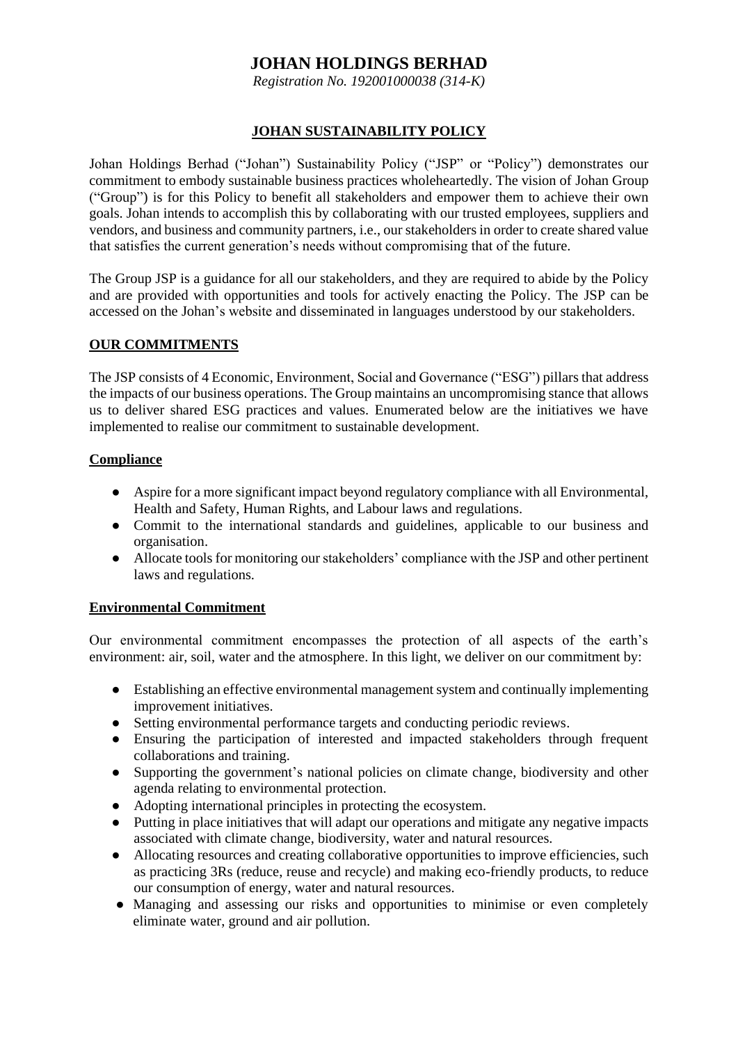# **JOHAN HOLDINGS BERHAD**

*Registration No. 192001000038 (314-K)*

# **JOHAN SUSTAINABILITY POLICY**

Johan Holdings Berhad ("Johan") Sustainability Policy ("JSP" or "Policy") demonstrates our commitment to embody sustainable business practices wholeheartedly. The vision of Johan Group ("Group") is for this Policy to benefit all stakeholders and empower them to achieve their own goals. Johan intends to accomplish this by collaborating with our trusted employees, suppliers and vendors, and business and community partners, i.e., our stakeholders in order to create shared value that satisfies the current generation's needs without compromising that of the future.

The Group JSP is a guidance for all our stakeholders, and they are required to abide by the Policy and are provided with opportunities and tools for actively enacting the Policy. The JSP can be accessed on the Johan's website and disseminated in languages understood by our stakeholders.

# **OUR COMMITMENTS**

The JSP consists of 4 Economic, Environment, Social and Governance ("ESG") pillars that address the impacts of our business operations. The Group maintains an uncompromising stance that allows us to deliver shared ESG practices and values. Enumerated below are the initiatives we have implemented to realise our commitment to sustainable development.

# **Compliance**

- Aspire for a more significant impact beyond regulatory compliance with all Environmental, Health and Safety, Human Rights, and Labour laws and regulations.
- Commit to the international standards and guidelines, applicable to our business and organisation.
- Allocate tools for monitoring our stakeholders' compliance with the JSP and other pertinent laws and regulations.

# **Environmental Commitment**

Our environmental commitment encompasses the protection of all aspects of the earth's environment: air, soil, water and the atmosphere. In this light, we deliver on our commitment by:

- Establishing an effective environmental management system and continually implementing improvement initiatives.
- Setting environmental performance targets and conducting periodic reviews.
- Ensuring the participation of interested and impacted stakeholders through frequent collaborations and training.
- Supporting the government's national policies on climate change, biodiversity and other agenda relating to environmental protection.
- Adopting international principles in protecting the ecosystem.
- Putting in place initiatives that will adapt our operations and mitigate any negative impacts associated with climate change, biodiversity, water and natural resources.
- Allocating resources and creating collaborative opportunities to improve efficiencies, such as practicing 3Rs (reduce, reuse and recycle) and making eco-friendly products, to reduce our consumption of energy, water and natural resources.
- Managing and assessing our risks and opportunities to minimise or even completely eliminate water, ground and air pollution.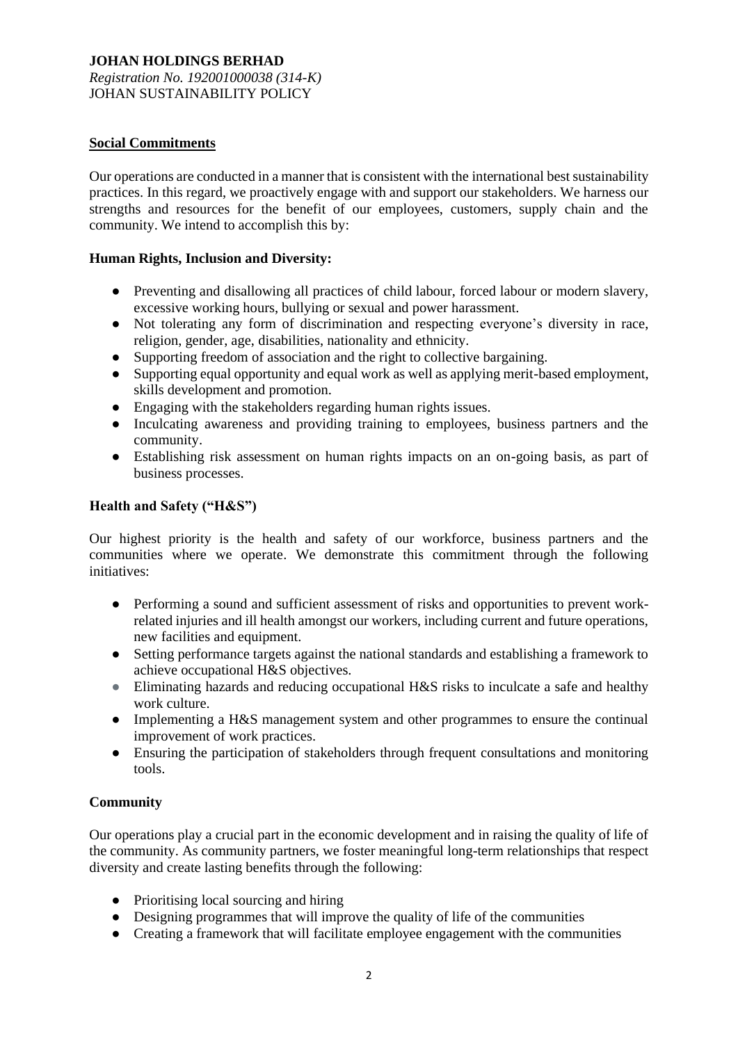# **JOHAN HOLDINGS BERHAD**

*Registration No. 192001000038 (314-K)* JOHAN SUSTAINABILITY POLICY

# **Social Commitments**

Our operations are conducted in a manner that is consistent with the international best sustainability practices. In this regard, we proactively engage with and support our stakeholders. We harness our strengths and resources for the benefit of our employees, customers, supply chain and the community. We intend to accomplish this by:

# **Human Rights, Inclusion and Diversity:**

- Preventing and disallowing all practices of child labour, forced labour or modern slavery, excessive working hours, bullying or sexual and power harassment.
- Not tolerating any form of discrimination and respecting everyone's diversity in race, religion, gender, age, disabilities, nationality and ethnicity.
- Supporting freedom of association and the right to collective bargaining.
- Supporting equal opportunity and equal work as well as applying merit-based employment, skills development and promotion.
- Engaging with the stakeholders regarding human rights issues.
- Inculcating awareness and providing training to employees, business partners and the community.
- Establishing risk assessment on human rights impacts on an on-going basis, as part of business processes.

# **Health and Safety ("H&S")**

Our highest priority is the health and safety of our workforce, business partners and the communities where we operate. We demonstrate this commitment through the following initiatives:

- Performing a sound and sufficient assessment of risks and opportunities to prevent workrelated injuries and ill health amongst our workers, including current and future operations, new facilities and equipment.
- Setting performance targets against the national standards and establishing a framework to achieve occupational H&S objectives.
- Eliminating hazards and reducing occupational H&S risks to inculcate a safe and healthy work culture.
- Implementing a H&S management system and other programmes to ensure the continual improvement of work practices.
- Ensuring the participation of stakeholders through frequent consultations and monitoring tools.

# **Community**

Our operations play a crucial part in the economic development and in raising the quality of life of the community. As community partners, we foster meaningful long-term relationships that respect diversity and create lasting benefits through the following:

- Prioritising local sourcing and hiring
- Designing programmes that will improve the quality of life of the communities
- Creating a framework that will facilitate employee engagement with the communities